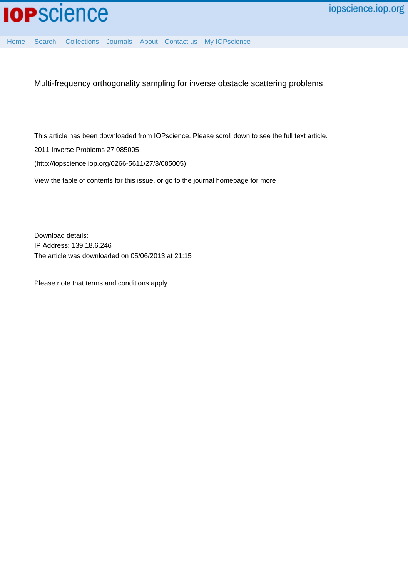

[Home](http://iopscience.iop.org/) [Search](http://iopscience.iop.org/search) [Collections](http://iopscience.iop.org/collections) [Journals](http://iopscience.iop.org/journals) [About](http://iopscience.iop.org/page/aboutioppublishing) [Contact us](http://iopscience.iop.org/contact) [My IOPscience](http://iopscience.iop.org/myiopscience)

Multi-frequency orthogonality sampling for inverse obstacle scattering problems

This article has been downloaded from IOPscience. Please scroll down to see the full text article.

2011 Inverse Problems 27 085005

(http://iopscience.iop.org/0266-5611/27/8/085005)

View [the table of contents for this issue](http://iopscience.iop.org/0266-5611/27/8), or go to the [journal homepage](http://iopscience.iop.org/0266-5611) for more

Download details: IP Address: 139.18.6.246 The article was downloaded on 05/06/2013 at 21:15

Please note that [terms and conditions apply.](http://iopscience.iop.org/page/terms)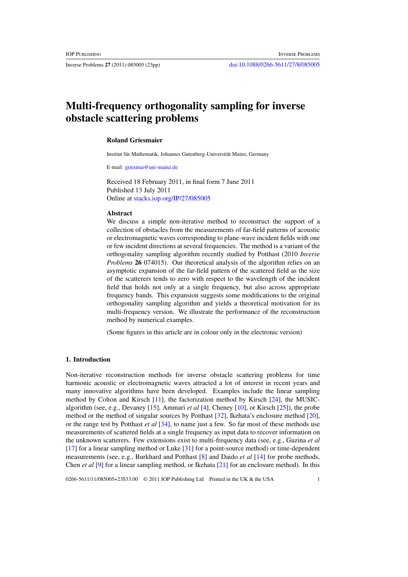# **Multi-frequency orthogonality sampling for inverse obstacle scattering problems**

### **Roland Griesmaier**

Institut für Mathematik, Johannes Gutenberg-Universität Mainz, Germany

E-mail: [griesmai@uni-mainz.de](mailto:griesmai@uni-mainz.de)

Received 18 February 2011, in final form 7 June 2011 Published 13 July 2011 Online at [stacks.iop.org/IP/27/085005](http://stacks.iop.org/IP/27/085005)

#### **Abstract**

We discuss a simple non-iterative method to reconstruct the support of a collection of obstacles from the measurements of far-field patterns of acoustic or electromagnetic waves corresponding to plane-wave incident fields with one or few incident directions at several frequencies. The method is a variant of the orthogonality sampling algorithm recently studied by Potthast (2010 *Inverse Problems* 26 074015). Our theoretical analysis of the algorithm relies on an asymptotic expansion of the far-field pattern of the scattered field as the size of the scatterers tends to zero with respect to the wavelength of the incident field that holds not only at a single frequency, but also across appropriate frequency bands. This expansion suggests some modifications to the original orthogonality sampling algorithm and yields a theoretical motivation for its multi-frequency version. We illustrate the performance of the reconstruction method by numerical examples.

(Some figures in this article are in colour only in the electronic version)

#### **1. Introduction**

Non-iterative reconstruction methods for inverse obstacle scattering problems for time harmonic acoustic or electromagnetic waves attracted a lot of interest in recent years and many innovative algorithms have been developed. Examples include the linear sampling method by Colton and Kirsch [\[11\]](#page-22-0), the factorization method by Kirsch [\[24](#page-23-0)], the MUSICalgorithm (see, e.g., Devaney [\[15\]](#page-22-0), Ammari *et al* [\[4](#page-22-0)], Cheney [\[10\]](#page-22-0), or Kirsch [\[25](#page-23-0)]), the probe method or the method of singular sources by Potthast [\[32\]](#page-23-0), Ikehata's enclosure method [\[20\]](#page-23-0), or the range test by Potthast *et al* [\[34\]](#page-23-0), to name just a few. So far most of these methods use measurements of scattered fields at a single frequency as input data to recover information on the unknown scatterers. Few extensions exist to multi-frequency data (see, e.g., Guzina *et al* [\[17](#page-22-0)] for a linear sampling method or Luke [\[31](#page-23-0)] for a point-source method) or time-dependent measurements (see, e.g., Burkhard and Potthast [\[8\]](#page-22-0) and Daido *et al* [\[14\]](#page-22-0) for probe methods, Chen *et al* [\[9\]](#page-22-0) for a linear sampling method, or Ikehata [\[21](#page-23-0)] for an enclosure method). In this

0266-5611/11/085005+23\$33.00 © 2011 IOP Publishing Ltd Printed in the UK & the USA 1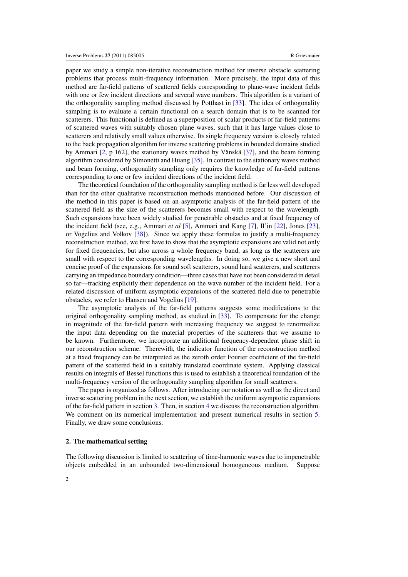paper we study a simple non-iterative reconstruction method for inverse obstacle scattering problems that process multi-frequency information. More precisely, the input data of this method are far-field patterns of scattered fields corresponding to plane-wave incident fields with one or few incident directions and several wave numbers. This algorithm is a variant of the orthogonality sampling method discussed by Potthast in [\[33\]](#page-23-0). The idea of orthogonality sampling is to evaluate a certain functional on a search domain that is to be scanned for scatterers. This functional is defined as a superposition of scalar products of far-field patterns of scattered waves with suitably chosen plane waves, such that it has large values close to scatterers and relatively small values otherwise. Its single frequency version is closely related to the back propagation algorithm for inverse scattering problems in bounded domains studied by Ammari  $[2, p \ 162]$  $[2, p \ 162]$ , the stationary waves method by Vänskä  $[37]$  $[37]$  $[37]$ , and the beam forming algorithm considered by Simonetti and Huang [\[35](#page-23-0)]. In contrast to the stationary waves method and beam forming, orthogonality sampling only requires the knowledge of far-field patterns corresponding to one or few incident directions of the incident field.

The theoretical foundation of the orthogonality sampling method is far less well developed than for the other qualitative reconstruction methods mentioned before. Our discussion of the method in this paper is based on an asymptotic analysis of the far-field pattern of the scattered field as the size of the scatterers becomes small with respect to the wavelength. Such expansions have been widely studied for penetrable obstacles and at fixed frequency of the incident field (see, e.g., Ammari *et al* [\[5\]](#page-22-0), Ammari and Kang [\[7\]](#page-22-0), Il'in [\[22](#page-23-0)], Jones [\[23\]](#page-23-0), or Vogelius and Volkov  $[38]$  $[38]$ ). Since we apply these formulas to justify a multi-frequency reconstruction method, we first have to show that the asymptotic expansions are valid not only for fixed frequencies, but also across a whole frequency band, as long as the scatterers are small with respect to the corresponding wavelengths. In doing so, we give a new short and concise proof of the expansions for sound soft scatterers, sound hard scatterers, and scatterers carrying an impedance boundary condition—three cases that have not been considered in detail so far—tracking explicitly their dependence on the wave number of the incident field. For a related discussion of uniform asymptotic expansions of the scattered field due to penetrable obstacles, we refer to Hansen and Vogelius [\[19\]](#page-23-0).

The asymptotic analysis of the far-field patterns suggests some modifications to the original orthogonality sampling method, as studied in [\[33\]](#page-23-0). To compensate for the change in magnitude of the far-field pattern with increasing frequency we suggest to renormalize the input data depending on the material properties of the scatterers that we assume to be known. Furthermore, we incorporate an additional frequency-dependent phase shift in our reconstruction scheme. Therewith, the indicator function of the reconstruction method at a fixed frequency can be interpreted as the zeroth order Fourier coefficient of the far-field pattern of the scattered field in a suitably translated coordinate system. Applying classical results on integrals of Bessel functions this is used to establish a theoretical foundation of the multi-frequency version of the orthogonality sampling algorithm for small scatterers.

The paper is organized as follows. After introducing our notation as well as the direct and inverse scattering problem in the next section, we establish the uniform asymptotic expansions of the far-field pattern in section [3.](#page-4-0) Then, in section [4](#page-11-0) we discuss the reconstruction algorithm. We comment on its numerical implementation and present numerical results in section [5.](#page-15-0) Finally, we draw some conclusions.

## **2. The mathematical setting**

The following discussion is limited to scattering of time-harmonic waves due to impenetrable objects embedded in an unbounded two-dimensional homogeneous medium. Suppose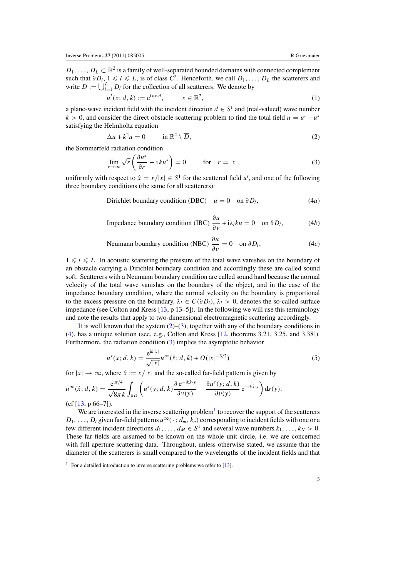<span id="page-3-0"></span> $D_1, \ldots, D_L \subset \mathbb{R}^2$  is a family of well-separated bounded domains with connected complement such that  $\partial D_l$ ,  $1 \leq l \leq L$ , is of class  $C^2$ . Henceforth, we call  $D_1, \ldots, D_L$  the scatterers and write  $D := \bigcup_{l=1}^{L} D_l$  for the collection of all scatterers. We denote by

$$
u^i(x; d, k) := e^{ikx \cdot d}, \qquad x \in \mathbb{R}^2,
$$
 (1)

a plane-wave incident field with the incident direction  $d \in S<sup>1</sup>$  and (real-valued) wave number  $k > 0$ , and consider the direct obstacle scattering problem to find the total field  $u = u^{i} + u^{s}$ satisfying the Helmholtz equation

$$
\Delta u + k^2 u = 0 \qquad \text{in } \mathbb{R}^2 \setminus \overline{D}, \tag{2}
$$

the Sommerfeld radiation condition

$$
\lim_{r \to \infty} \sqrt{r} \left( \frac{\partial u^s}{\partial r} - i \, k u^s \right) = 0 \qquad \text{for} \quad r = |x|,\tag{3}
$$

uniformly with respect to  $\hat{x} = x/|x| \in S^1$  for the scattered field  $u^s$ , and one of the following three boundary conditions (the same for all scatterers):

Dirichlet boundary condition *(DBC)*  $u = 0$  on  $\partial D_l$ , (4*a*)

Impedance boundary condition (IBC) 
$$
\frac{\partial u}{\partial v} + i\lambda_l ku = 0
$$
 on  $\partial D_l$ , (4b)

Neumann boundary condition (NBC) 
$$
\frac{\partial u}{\partial v} = 0
$$
 on  $\partial D_l$ , (4*c*)

 $1 \leq l \leq L$ . In acoustic scattering the pressure of the total wave vanishes on the boundary of an obstacle carrying a Dirichlet boundary condition and accordingly these are called sound soft. Scatterers with a Neumann boundary condition are called sound hard because the normal velocity of the total wave vanishes on the boundary of the object, and in the case of the impedance boundary condition, where the normal velocity on the boundary is proportional to the excess pressure on the boundary,  $\lambda_l \in C(\partial D_l)$ ,  $\lambda_l > 0$ , denotes the so-called surface impedance (see Colton and Kress  $[13, p 13-5]$  $[13, p 13-5]$ ). In the following we will use this terminology and note the results that apply to two-dimensional electromagnetic scattering accordingly.

It is well known that the system  $(2)$ – $(3)$ , together with any of the boundary conditions in (4), has a unique solution (see, e.g., Colton and Kress [\[12,](#page-22-0) theorems 3.21, 3.25, and 3.38]). Furthermore, the radiation condition (3) implies the asymptotic behavior

$$
u^{s}(x; d, k) = \frac{e^{ik|x|}}{\sqrt{|x|}} u^{\infty}(\hat{x}; d, k) + O(|x|^{-3/2})
$$
\n(5)

for  $|x| \to \infty$ , where  $\hat{x} := x/|x|$  and the so-called far-field pattern is given by

$$
u^{\infty}(\hat{x}; d, k) = \frac{e^{i\pi/4}}{\sqrt{8\pi k}} \int_{\partial D} \left( u^{s}(y; d, k) \frac{\partial e^{-ik\hat{x} \cdot y}}{\partial v(y)} - \frac{\partial u^{s}(y; d, k)}{\partial v(y)} e^{-ik\hat{x} \cdot y} \right) ds(y).
$$

(cf  $[13, p 66-7]$  $[13, p 66-7]$ ).

We are interested in the inverse scattering problem $<sup>1</sup>$  to recover the support of the scatterers</sup>  $D_1, \ldots, D_l$  given far-field patterns  $u^\infty(\cdot; d_m, k_n)$  corresponding to incident fields with one or a few different incident directions  $d_1, \ldots, d_M \in S^1$  and several wave numbers  $k_1, \ldots, k_N > 0$ . These far fields are assumed to be known on the whole unit circle, i.e. we are concerned with full aperture scattering data. Throughout, unless otherwise stated, we assume that the diameter of the scatterers is small compared to the wavelengths of the incident fields and that

<sup>&</sup>lt;sup>1</sup> For a detailed introduction to inverse scattering problems we refer to [\[13](#page-22-0)].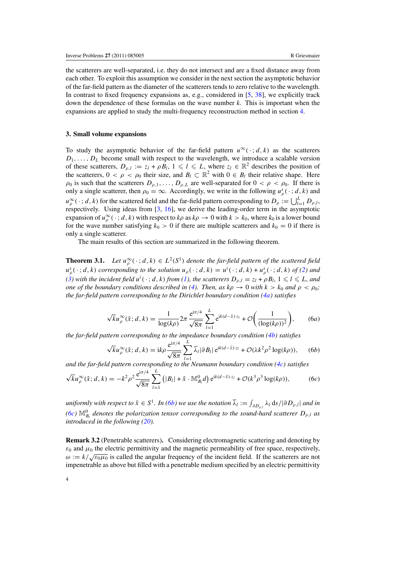<span id="page-4-0"></span>the scatterers are well-separated, i.e. they do not intersect and are a fixed distance away from each other. To exploit this assumption we consider in the next section the asymptotic behavior of the far-field pattern as the diameter of the scatterers tends to zero relative to the wavelength. In contrast to fixed frequency expansions as, e.g., considered in [\[5](#page-22-0), [38\]](#page-23-0), we explicitly track down the dependence of these formulas on the wave number *k*. This is important when the expansions are applied to study the multi-frequency reconstruction method in section [4.](#page-11-0)

#### **3. Small volume expansions**

To study the asymptotic behavior of the far-field pattern  $u^{\infty}(\cdot; d, k)$  as the scatterers  $D_1, \ldots, D_L$  become small with respect to the wavelength, we introduce a scalable version of these scatterers,  $D_{\rho,l} := z_l + \rho B_l$ ,  $1 \le l \le L$ , where  $z_l \in \mathbb{R}^2$  describes the position of the scatterers,  $0 < \rho < \rho_0$  their size, and  $B_l \subset \mathbb{R}^2$  with  $0 \in B_l$  their relative shape. Here  $\rho_0$  is such that the scatterers  $D_{\rho,1}, \ldots, D_{\rho,L}$  are well-separated for  $0 < \rho < \rho_0$ . If there is only a single scatterer, then  $\rho_0 = \infty$ . Accordingly, we write in the following  $u^s_\rho(\cdot; d, k)$  and  $u_{\rho}^{\infty}(\cdot; d, k)$  for the scattered field and the far-field pattern corresponding to  $D_{\rho} := \bigcup_{l=1}^{L} D_{\rho,l}$ , respectively. Using ideas from [\[3,](#page-22-0) [16\]](#page-22-0), we derive the leading-order term in the asymptotic expansion of  $u_p^{\infty}(\cdot; d, k)$  with respect to  $k\rho$  as  $k\rho \to 0$  with  $k > k_0$ , where  $k_0$  is a lower bound for the wave number satisfying  $k_0 > 0$  if there are multiple scatterers and  $k_0 = 0$  if there is only a single scatterer.

The main results of this section are summarized in the following theorem.

**Theorem 3.1.** *Let*  $u_{\rho}^{\infty}(\cdot; d, k) \in L^{2}(S^{1})$  *denote the far-field pattern of the scattered field*  $u_{\rho}^{s}(\cdot; d, k)$  *corresponding to the solution*  $u_{\rho}(\cdot; d, k) = u^{i}(\cdot; d, k) + u_{\rho}^{s}(\cdot; d, k)$  *of [\(2\)](#page-3-0) and [\(3\)](#page-3-0)* with the incident field  $u^i(\cdot; d, k)$  from *[\(1\)](#page-3-0)*, the scatterers  $D_{\rho,l} = z_l + \rho B_l$ ,  $1 \leq l \leq L$ , and *one of the boundary conditions described in [\(4\)](#page-3-0). Then, as*  $k\rho \rightarrow 0$  *with*  $k > k_0$  *and*  $\rho < \rho_0$ ; *the far-field pattern corresponding to the Dirichlet boundary condition [\(4](#page-3-0)a) satisfies*

$$
\sqrt{k}u_{\rho}^{\infty}(\hat{x}; d, k) = \frac{1}{\log(k\rho)} 2\pi \frac{e^{i\pi/4}}{\sqrt{8\pi}} \sum_{l=1}^{L} e^{ik(d-\hat{x}) \cdot z_l} + \mathcal{O}\bigg(\frac{1}{(\log(k\rho))^2}\bigg),\qquad(6a)
$$

*the far-field pattern corresponding to the impedance boundary condition [\(4](#page-3-0)b) satisfies*

$$
\sqrt{k}u_{\rho}^{\infty}(\hat{x}; d, k) = ik\rho \frac{e^{i\pi/4}}{\sqrt{8\pi}} \sum_{l=1}^{L} \overline{\lambda}_{l} |\partial B_{l}| e^{ik(d-\hat{x})\cdot z_{l}} + \mathcal{O}(\lambda k^{2} \rho^{2} \log(k\rho)), \quad (6b)
$$

and the far-field pattern corresponding to the Neumann boundary condition [\(4](#page-3-0)*c*) satisfies

$$
\sqrt{k}u_{\rho}^{\infty}(\hat{x}; d, k) = -k^2\rho^2 \frac{e^{i\pi/4}}{\sqrt{8\pi}} \sum_{l=1}^{L} (|B_l| + \hat{x} \cdot M_{B_l}^0 d) e^{ik(d-\hat{x}) \cdot z_l} + \mathcal{O}(k^3\rho^3 \log(k\rho)), \tag{6c}
$$

*uniformly with respect to*  $\hat{x} \in S^1$ *. In (6b) we use the notation*  $\overline{\lambda}_l := \int_{\partial D_{\rho,l}} \lambda_l \, ds / |\partial D_{\rho,l}|$  and in *(6c)*  $\mathbb{M}_{B_l}^0$  *denotes the polarization tensor corresponding to the sound-hard scatterer*  $D_{\rho,l}$  *as introduced in the following [\(20\)](#page-11-0).*

**Remark 3.2** (Penetrable scatterers)**.** Considering electromagnetic scattering and denoting by  $\varepsilon_0$  and  $\mu_0$  the electric permittivity and the magnetic permeability of free space, respectively,  $\omega := k/\sqrt{\varepsilon_0\mu_0}$  is called the angular frequency of the incident field. If the scatterers are not impenetrable as above but filled with a penetrable medium specified by an electric permittivity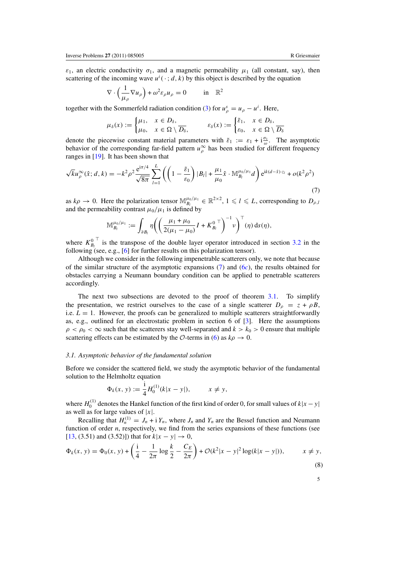<span id="page-5-0"></span>*ε*<sub>1</sub>, an electric conductivity  $\sigma_1$ , and a magnetic permeability  $\mu_1$  (all constant, say), then scattering of the incoming wave  $u^i(\cdot; d, k)$  by this object is described by the equation

$$
\nabla \cdot \left(\frac{1}{\mu_{\rho}} \nabla u_{\rho}\right) + \omega^2 \varepsilon_{\rho} u_{\rho} = 0 \quad \text{in} \quad \mathbb{R}^2
$$

together with the Sommerfeld radiation condition [\(3\)](#page-3-0) for  $u_{\rho}^{s} = u_{\rho} - u^{i}$ . Here,

$$
\mu_{\delta}(x) := \begin{cases} \mu_1, & x \in D_{\delta}, \\ \mu_0, & x \in \Omega \setminus \overline{D_{\delta}}, \end{cases} \qquad \varepsilon_{\delta}(x) := \begin{cases} \tilde{\varepsilon}_1, & x \in D_{\delta}, \\ \varepsilon_0, & x \in \Omega \setminus \overline{D_{\delta}} \end{cases}
$$

denote the piecewise constant material parameters with  $\tilde{\varepsilon}_1 := \varepsilon_1 + i \frac{\sigma_1}{\omega}$ . The asymptotic behavior of the corresponding far-field pattern  $u_{\rho}^{\infty}$  has been studied for different frequency ranges in [\[19\]](#page-23-0). It has been shown that

$$
\sqrt{k}u_{\rho}^{\infty}(\hat{x}; d, k) = -k^2\rho^2 \frac{e^{i\pi/4}}{\sqrt{8\pi}} \sum_{l=1}^{L} \left( \left( 1 - \frac{\tilde{\epsilon}_1}{\epsilon_0} \right) |B_l| + \frac{\mu_1}{\mu_0} \hat{x} \cdot \mathbb{M}_{B_l}^{\mu_0/\mu_1} d \right) e^{ik(d-\hat{x}) \cdot z_l} + o(k^2\rho^2)
$$
\n(7)

as  $k\rho \to 0$ . Here the polarization tensor  $\mathbb{M}_{B_l}^{\mu_0/\mu_1} \in \mathbb{R}^{2 \times 2}$ ,  $1 \leq l \leq L$ , corresponding to  $D_{\rho,l}$ and the permeability contrast  $\mu_0/\mu_1$  is defined by

$$
\mathbb{M}_{B_l}^{\mu_0/\mu_1} := \int_{\partial B_l} \eta \bigg( \bigg( \frac{\mu_1 + \mu_0}{2(\mu_1 - \mu_0)} I + K_{B_l}^{0\; \top} \bigg)^{-1} \nu \bigg)^\top (\eta) \, \mathrm{d} s(\eta),
$$

where  $K_{B_l}^{0}$ <sup>T</sup> is the transpose of the double layer operator introduced in section [3.2](#page-6-0) in the following (see, e.g., [\[6\]](#page-22-0) for further results on this polarization tensor).

Although we consider in the following impenetrable scatterers only, we note that because of the similar structure of the asymptotic expansions (7) and [\(6](#page-4-0)*c*), the results obtained for obstacles carrying a Neumann boundary condition can be applied to penetrable scatterers accordingly.

The next two subsections are devoted to the proof of theorem [3.1.](#page-4-0) To simplify the presentation, we restrict ourselves to the case of a single scatterer  $D_\rho = z + \rho B$ , i.e.  $L = 1$ . However, the proofs can be generalized to multiple scatterers straightforwardly as, e.g., outlined for an electrostatic problem in section 6 of [\[3\]](#page-22-0). Here the assumptions  $\rho < \rho_0 < \infty$  such that the scatterers stay well-separated and  $k > k_0 > 0$  ensure that multiple scattering effects can be estimated by the  $\mathcal{O}$ -terms in [\(6\)](#page-4-0) as  $k\rho \to 0$ .

## *3.1. Asymptotic behavior of the fundamental solution*

Before we consider the scattered field, we study the asymptotic behavior of the fundamental solution to the Helmholtz equation

$$
\Phi_k(x, y) := \frac{1}{4} H_0^{(1)}(k|x - y|), \qquad x \neq y,
$$

where  $H_0^{(1)}$  denotes the Hankel function of the first kind of order 0, for small values of  $k|x-y|$ as well as for large values of  $|x|$ .

Recalling that  $H_n^{(1)} = J_n + i Y_n$ , where  $J_n$  and  $Y_n$  are the Bessel function and Neumann function of order *n*, respectively, we find from the series expansions of these functions (see  $[13, (3.51)$  $[13, (3.51)$  and  $(3.52)]$ ) that for  $k|x - y| \to 0$ ,

$$
\Phi_k(x, y) = \Phi_0(x, y) + \left(\frac{i}{4} - \frac{1}{2\pi} \log \frac{k}{2} - \frac{C_E}{2\pi}\right) + \mathcal{O}(k^2 |x - y|^2 \log(k |x - y|)), \qquad x \neq y,
$$
\n(8)

$$
\overline{\mathbf{5}}
$$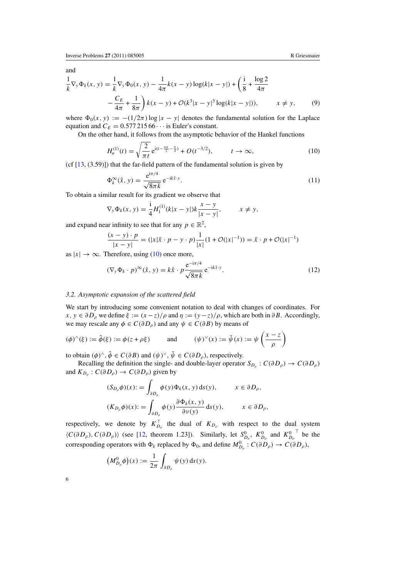<span id="page-6-0"></span>and

$$
\frac{1}{k}\nabla_y \Phi_k(x, y) = \frac{1}{k}\nabla_y \Phi_0(x, y) - \frac{1}{4\pi}k(x - y)\log(k|x - y|) + \left(\frac{i}{8} + \frac{\log 2}{4\pi}\right)
$$

$$
-\frac{C_E}{4\pi} + \frac{1}{8\pi}\right)k(x - y) + \mathcal{O}(k^3|x - y|^3\log(k|x - y|)), \qquad x \neq y,
$$
(9)

where  $\Phi_0(x, y) := -(1/2\pi) \log |x - y|$  denotes the fundamental solution for the Laplace equation and  $C_E = 0.57721566 \cdots$  is Euler's constant.

On the other hand, it follows from the asymptotic behavior of the Hankel functions

$$
H_n^{(1)}(t) = \sqrt{\frac{2}{\pi t}} e^{i(t - \frac{n\pi}{2} - \frac{\pi}{4})} + O(t^{-3/2}), \qquad t \to \infty,
$$
 (10)

(cf  $[13, (3.59)]$  $[13, (3.59)]$ ) that the far-field pattern of the fundamental solution is given by

$$
\Phi_k^{\infty}(\hat{x}, y) = \frac{e^{i\pi/4}}{\sqrt{8\pi k}} e^{-i k \hat{x} \cdot y}.
$$
\n(11)

To obtain a similar result for its gradient we observe that

$$
\nabla_{y} \Phi_{k}(x, y) = \frac{i}{4} H_{1}^{(1)}(k|x - y|)k \frac{x - y}{|x - y|}, \qquad x \neq y,
$$

and expand near infinity to see that for any  $p \in \mathbb{R}^2$ ,

$$
\frac{(x-y)\cdot p}{|x-y|} = (|x|\hat{x}\cdot p - y\cdot p)\frac{1}{|x|}(1+\mathcal{O}(|x|^{-1})) = \hat{x}\cdot p + \mathcal{O}(|x|^{-1})
$$

as  $|x| \to \infty$ . Therefore, using (10) once more,

$$
(\nabla_y \Phi_k \cdot p)^\infty(\hat{x}, y) = k\hat{x} \cdot p \frac{e^{-i\pi/4}}{\sqrt{8\pi k}} e^{-ik\hat{x}\cdot y}.
$$
 (12)

## *3.2. Asymptotic expansion of the scattered field*

We start by introducing some convenient notation to deal with changes of coordinates. For *x*, *y* ∈  $\partial D_{\rho}$  we define  $\xi := (x - z)/\rho$  and  $\eta := (y - z)/\rho$ , which are both in  $\partial B$ . Accordingly, we may rescale any  $\phi \in C(\partial D_{\rho})$  and any  $\psi \in C(\partial B)$  by means of

$$
(\phi)^{\wedge}(\xi) := \hat{\phi}(\xi) := \phi(z + \rho\xi) \quad \text{and} \quad (\psi)^{\vee}(x) := \check{\psi}(x) := \psi\left(\frac{x - z}{\rho}\right)
$$

to obtain  $(\phi)^\wedge$ ,  $\hat{\phi} \in C(\partial B)$  and  $(\psi)^\vee$ ,  $\check{\psi} \in C(\partial D_\rho)$ , respectively.

Recalling the definition the single- and double-layer operator  $S_{D_0}$  :  $C(\partial D_0) \to C(\partial D_0)$ and  $K_{D_\rho}: C(\partial D_\rho) \to C(\partial D_\rho)$  given by

$$
(S_{D_{\rho}}\phi)(x) := \int_{\partial D_{\rho}} \phi(y)\Phi_k(x, y) \, ds(y), \qquad x \in \partial D_{\rho},
$$
  

$$
(K_{D_{\rho}}\phi)(x) := \int_{\partial D_{\rho}} \phi(y)\frac{\partial \Phi_k(x, y)}{\partial v(y)} \, ds(y), \qquad x \in \partial D_{\rho},
$$

respectively, we denote by  $K_{D_{\rho}}^{\top}$  the dual of  $K_{D_{\rho}}$  with respect to the dual system  $\langle C(\partial D_{\rho}), C(\partial D_{\rho}) \rangle$  (see [\[12](#page-22-0), theorem 1.23]). Similarly, let  $S_{D_{\rho}}^{0}$ ,  $K_{D_{\rho}}^{0}$  and  $K_{D_{\rho}}^{0}$ <sup>T</sup> be the corresponding operators with  $\Phi_k$  replaced by  $\Phi_0$ , and define  $M_{D_\rho}^0$  :  $C(\partial D_\rho) \to C(\partial D_\rho)$ ,

$$
\left(M_{D_{\rho}}^0 \phi\right)(x) := \frac{1}{2\pi} \int_{\partial D_{\rho}} \psi(y) \, \mathrm{d} s(y).
$$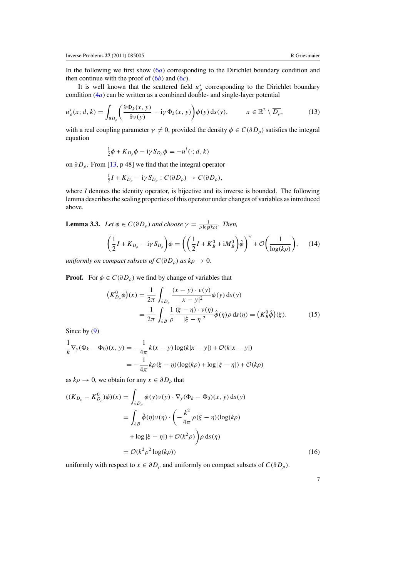<span id="page-7-0"></span>In the following we first show  $(6a)$  $(6a)$  corresponding to the Dirichlet boundary condition and then continue with the proof of  $(6b)$  $(6b)$  and  $(6c)$ .

It is well known that the scattered field  $u^s_\rho$  corresponding to the Dirichlet boundary condition [\(4](#page-3-0)*a*) can be written as a combined double- and single-layer potential

$$
u_{\rho}^{s}(x; d, k) = \int_{\partial D_{\rho}} \left( \frac{\partial \Phi_{k}(x, y)}{\partial \nu(y)} - i\gamma \Phi_{k}(x, y) \right) \phi(y) \, ds(y), \qquad x \in \mathbb{R}^{2} \setminus \overline{D_{\rho}},\tag{13}
$$

with a real coupling parameter  $\gamma \neq 0$ , provided the density  $\phi \in C(\partial D_\rho)$  satisfies the integral equation

$$
\frac{1}{2}\phi + K_{D_\rho}\phi - i\gamma S_{D_\rho}\phi = -u^i(\cdot; d, k)
$$

on *∂Dρ*. From [\[13,](#page-22-0) p 48] we find that the integral operator

$$
\frac{1}{2}I + K_{D_{\rho}} - i\gamma S_{D_{\rho}} : C(\partial D_{\rho}) \to C(\partial D_{\rho}),
$$

where *I* denotes the identity operator, is bijective and its inverse is bounded. The following lemma describes the scaling properties of this operator under changes of variables as introduced above.

**Lemma 3.3.** *Let*  $\phi \in C(\partial D_{\rho})$  *and choose*  $\gamma = \frac{1}{\rho \log(k\rho)}$ *. Then,* 

$$
\left(\frac{1}{2}I + K_{D_{\rho}} - i\gamma S_{D_{\rho}}\right)\phi = \left(\left(\frac{1}{2}I + K_B^0 + iM_B^0\right)\hat{\phi}\right)^{\vee} + \mathcal{O}\left(\frac{1}{\log(k\rho)}\right),\tag{14}
$$

*uniformly on compact subsets of*  $C(\partial D_{\rho})$  *as*  $k\rho \to 0$ *.* 

**Proof.** For  $\phi \in C(\partial D_{\rho})$  we find by change of variables that

$$
\begin{split} \left(K_{D_{\rho}}^{0}\phi\right)(x) &= \frac{1}{2\pi} \int_{\partial D_{\rho}} \frac{(x-y)\cdot v(y)}{|x-y|^{2}} \phi(y) \, \mathrm{d}s(y) \\ &= \frac{1}{2\pi} \int_{\partial B} \frac{1}{\rho} \frac{(\xi-\eta)\cdot v(\eta)}{|\xi-\eta|^{2}} \hat{\phi}(\eta)\rho \, \mathrm{d}s(\eta) = \left(K_{B}^{0}\hat{\phi}\right)(\xi). \end{split} \tag{15}
$$

Since by  $(9)$ 

$$
\frac{1}{k}\nabla_y(\Phi_k - \Phi_0)(x, y) = -\frac{1}{4\pi}k(x - y)\log(k|x - y|) + \mathcal{O}(k|x - y|)
$$

$$
= -\frac{1}{4\pi}k\rho(\xi - \eta)(\log(k\rho) + \log|\xi - \eta|) + \mathcal{O}(k\rho)
$$

as  $k\rho \to 0$ , we obtain for any  $x \in \partial D_\rho$  that

$$
((K_{D_{\rho}} - K_{D_{\rho}}^{0})\phi)(x) = \int_{\partial D_{\rho}} \phi(y)\nu(y) \cdot \nabla_{y}(\Phi_{k} - \Phi_{0})(x, y) ds(y)
$$
  

$$
= \int_{\partial B} \hat{\phi}(\eta)\nu(\eta) \cdot \left(-\frac{k^{2}}{4\pi}\rho(\xi - \eta)(\log(k\rho))\right)
$$
  

$$
+ \log|\xi - \eta|) + \mathcal{O}(k^{2}\rho)\rho ds(\eta)
$$
  

$$
= \mathcal{O}(k^{2}\rho^{2}\log(k\rho))
$$
 (16)

uniformly with respect to  $x \in \partial D_{\rho}$  and uniformly on compact subsets of  $C(\partial D_{\rho})$ .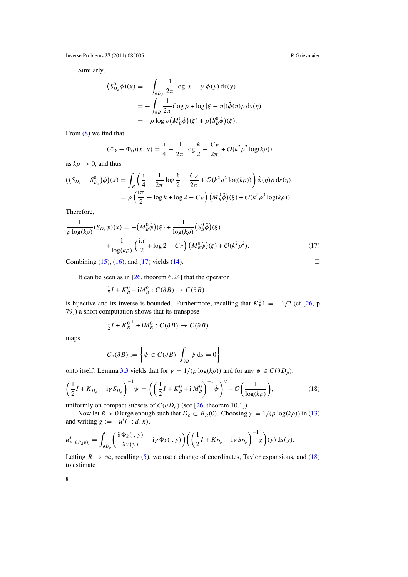<span id="page-8-0"></span>Similarly,

$$
(S_{D_{\rho}}^{0}\phi)(x) = -\int_{\partial D_{\rho}} \frac{1}{2\pi} \log|x - y|\phi(y) \, ds(y)
$$
  
= 
$$
-\int_{\partial B} \frac{1}{2\pi} (\log \rho + \log|\xi - \eta|) \hat{\phi}(\eta) \rho \, ds(\eta)
$$
  
= 
$$
-\rho \log \rho (M_{B}^{0}\hat{\phi})(\xi) + \rho (S_{B}^{0}\hat{\phi})(\xi).
$$

From [\(8\)](#page-5-0) we find that

$$
(\Phi_k - \Phi_0)(x, y) = \frac{1}{4} - \frac{1}{2\pi} \log \frac{k}{2} - \frac{C_E}{2\pi} + \mathcal{O}(k^2 \rho^2 \log(k\rho))
$$

as  $k\rho \rightarrow 0$ , and thus

$$
\begin{aligned} \left( \left( S_{D_{\rho}} - S_{D_{\rho}}^{0} \right) \phi \right) (x) &= \int_{B} \left( \frac{\mathrm{i}}{4} - \frac{1}{2\pi} \log \frac{k}{2} - \frac{C_{E}}{2\pi} + \mathcal{O}(k^{2} \rho^{2} \log(k\rho)) \right) \hat{\phi}(\eta) \rho \, \mathrm{d}s(\eta) \\ &= \rho \left( \frac{\mathrm{i}\pi}{2} - \log k + \log 2 - C_{E} \right) \left( M_{B}^{0} \hat{\phi} \right) (\xi) + \mathcal{O}(k^{2} \rho^{3} \log(k\rho)). \end{aligned}
$$

Therefore,

$$
\frac{1}{\rho \log(k\rho)} (S_{D_{\rho}} \phi)(x) = -(M_B^0 \hat{\phi})(\xi) + \frac{1}{\log(k\rho)} (S_B^0 \hat{\phi})(\xi) \n+ \frac{1}{\log(k\rho)} \left(\frac{i\pi}{2} + \log 2 - C_E\right) (M_B^0 \hat{\phi})(\xi) + \mathcal{O}(k^2 \rho^2).
$$
\n(17)

Combining [\(15\)](#page-7-0), [\(16\)](#page-7-0), and (17) yields [\(14\)](#page-7-0).  $\Box$ 

It can be seen as in [\[26](#page-23-0), theorem 6.24] that the operator

$$
\frac{1}{2}I + K_B^0 + iM_B^0 : C(\partial B) \to C(\partial B)
$$

is bijective and its inverse is bounded. Furthermore, recalling that  $K_B^0$ 1 =  $-1/2$  (cf [\[26,](#page-23-0) p 79]) a short computation shows that its transpose

$$
\frac{1}{2}I + K_B^{0\top} + \mathrm{i}M_B^0 : C(\partial B) \to C(\partial B)
$$

maps

$$
C_{\diamond}(\partial B) := \left\{ \psi \in C(\partial B) \middle| \int_{\partial B} \psi \, \mathrm{d}s = 0 \right\}
$$

onto itself. Lemma [3.3](#page-7-0) yields that for  $\gamma = 1/(\rho \log(k\rho))$  and for any  $\psi \in C(\partial D_\rho)$ ,

$$
\left(\frac{1}{2}I + K_{D_{\rho}} - i\gamma S_{D_{\rho}}\right)^{-1} \psi = \left(\left(\frac{1}{2}I + K_B^0 + i M_B^0\right)^{-1} \hat{\psi}\right)^{\vee} + \mathcal{O}\left(\frac{1}{\log(k\rho)}\right),\tag{18}
$$

uniformly on compact subsets of  $C(\partial D_\rho)$  (see [\[26](#page-23-0), theorem 10.1]).

Now let *R* > 0 large enough such that  $D_\rho \subset B_R(0)$ . Choosing  $\gamma = 1/(\rho \log(k\rho))$  in [\(13\)](#page-7-0) and writing  $g := -u^i(\cdot; d, k)$ ,

$$
u_{\rho}^{s}|_{\partial B_{R}(0)} = \int_{\partial D_{\rho}} \left( \frac{\partial \Phi_{k}(\cdot, y)}{\partial \nu(y)} - i\gamma \Phi_{k}(\cdot, y) \right) \left( \left( \frac{1}{2} I + K_{D_{\rho}} - i\gamma S_{D_{\rho}} \right)^{-1} g \right) (y) ds(y).
$$

Letting  $R \to \infty$ , recalling [\(5\)](#page-3-0), we use a change of coordinates, Taylor expansions, and (18) to estimate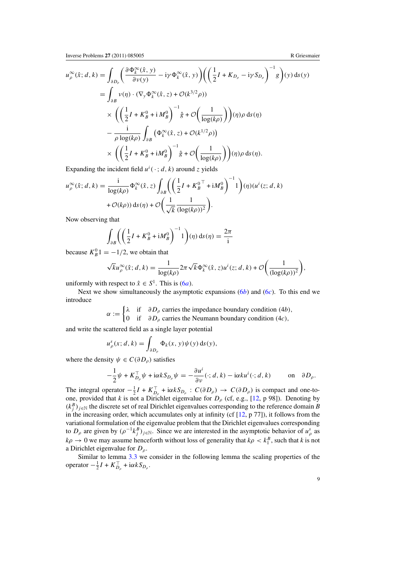Inverse Problems **27** (2011) 085005 R Griesmaier

$$
u_{\rho}^{\infty}(\hat{x}; d, k) = \int_{\partial D_{\rho}} \left( \frac{\partial \Phi_{k}^{\infty}(\hat{x}, y)}{\partial v(y)} - i\gamma \Phi_{k}^{\infty}(\hat{x}, y) \right) \left( \left( \frac{1}{2}I + K_{D_{\rho}} - i\gamma S_{D_{\rho}} \right)^{-1} g \right) (y) ds(y)
$$
  
\n
$$
= \int_{\partial B} v(\eta) \cdot (\nabla_{y} \Phi_{k}^{\infty}(\hat{x}, z) + \mathcal{O}(k^{3/2} \rho))
$$
  
\n
$$
\times \left( \left( \frac{1}{2}I + K_{B}^{0} + i M_{B}^{0} \right)^{-1} \hat{g} + \mathcal{O} \left( \frac{1}{\log(k\rho)} \right) \right) (\eta) \rho ds(\eta)
$$
  
\n
$$
- \frac{i}{\rho \log(k\rho)} \int_{\partial B} \left( \Phi_{k}^{\infty}(\hat{x}, z) + \mathcal{O}(k^{1/2} \rho) \right)
$$
  
\n
$$
\times \left( \left( \frac{1}{2}I + K_{B}^{0} + iM_{B}^{0} \right)^{-1} \hat{g} + \mathcal{O} \left( \frac{1}{\log(k\rho)} \right) \right) (\eta) \rho ds(\eta).
$$

Expanding the incident field  $u^i(\cdot; d, k)$  around *z* yields

$$
u_{\rho}^{\infty}(\hat{x}; d, k) = \frac{\mathrm{i}}{\log(k\rho)} \Phi_{k}^{\infty}(\hat{x}, z) \int_{\partial B} \left( \left( \frac{1}{2} I + K_{B}^{0} + \mathrm{i} M_{B}^{0} \right)^{-1} 1 \right) (\eta) (u^{i}(z; d, k) + \mathcal{O}(k\rho)) \, \mathrm{d}s(\eta) + \mathcal{O}\left( \frac{1}{\sqrt{k}} \frac{1}{(\log(k\rho))^{2}} \right).
$$

Now observing that

$$
\int_{\partial B} \left( \left( \frac{1}{2} I + K_B^0 + \mathrm{i} M_B^0 \right)^{-1} 1 \right) (\eta) \, \mathrm{d} s(\eta) = \frac{2\pi}{\mathrm{i}}
$$

because  $K_B^0 1 = -1/2$ , we obtain that

$$
\sqrt{k}u_{\rho}^{\infty}(\hat{x}; d, k) = \frac{1}{\log(k\rho)} 2\pi \sqrt{k} \Phi_{k}^{\infty}(\hat{x}, z) u^{i}(z; d, k) + \mathcal{O}\left(\frac{1}{(\log(k\rho))^{2}}\right),
$$

uniformly with respect to  $\hat{x} \in S^1$ . This is [\(6](#page-4-0)*a*).

Next we show simultaneously the asymptotic expansions [\(6](#page-4-0)*b*) and [\(6](#page-4-0)*c*). To this end we introduce

$$
\alpha := \begin{cases} \lambda & \text{if } \partial D_{\rho} \text{ carries the impedance boundary condition (4b),} \\ 0 & \text{if } \partial D_{\rho} \text{ carries the Neumann boundary condition (4c),} \end{cases}
$$

and write the scattered field as a single layer potential

$$
u_{\rho}^{s}(x; d, k) = \int_{\partial D_{\rho}} \Phi_{k}(x, y) \psi(y) \, ds(y),
$$

where the density  $\psi \in C(\partial D_\rho)$  satisfies

$$
-\frac{1}{2}\psi + K_{D_{\rho}}^{\top}\psi + i\alpha k S_{D_{\rho}}\psi = -\frac{\partial u^i}{\partial v}(\cdot; d, k) - i\alpha k u^i(\cdot; d, k) \quad \text{on} \quad \partial D_{\rho}.
$$

The integral operator  $-\frac{1}{2}I + K_{D_{\rho}}^{T} + i\alpha k S_{D_{\rho}} : C(\partial D_{\rho}) \to C(\partial D_{\rho})$  is compact and one-toone, provided that *k* is not a Dirichlet eigenvalue for  $D_\rho$  (cf, e.g., [\[12](#page-22-0), p 98]). Denoting by  $(k_j^B)_{j \in \mathbb{N}}$  the discrete set of real Dirichlet eigenvalues corresponding to the reference domain *B* in the increasing order, which accumulates only at infinity (cf  $[12, p 77]$  $[12, p 77]$ ), it follows from the variational formulation of the eigenvalue problem that the Dirichlet eigenvalues corresponding to  $D_\rho$  are given by  $(\rho^{-1} k_j^B)_{j \in \mathbb{N}}$ . Since we are interested in the asymptotic behavior of  $u_\rho^s$  as  $k\rho \to 0$  we may assume henceforth without loss of generality that  $k\rho \lt k_1^B$ , such that *k* is not a Dirichlet eigenvalue for *Dρ*.

Similar to lemma [3.3](#page-7-0) we consider in the following lemma the scaling properties of the operator  $-\frac{1}{2}I + K_{D_{\rho}}^{T} + i\alpha k S_{D_{\rho}}$ .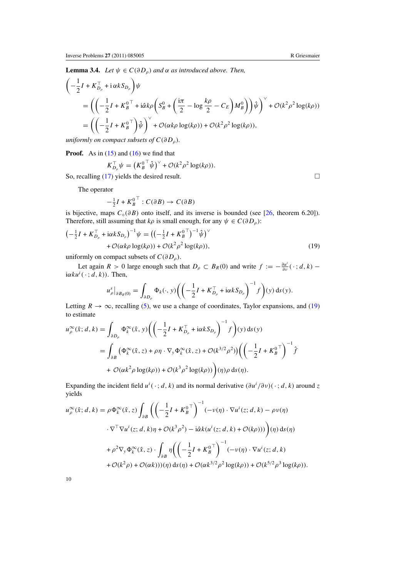−1

**Lemma 3.4.** *Let*  $\psi \in C(\partial D_{\rho})$  *and*  $\alpha$  *as introduced above. Then,* 

$$
\begin{aligned}\n&\left(-\frac{1}{2}I + K_{D_{\rho}}^{\top} + i\alpha k S_{D_{\rho}}\right)\psi \\
&= \left(\left(-\frac{1}{2}I + K_{B}^{0\top} + i\hat{\alpha}k\rho\left(S_{B}^{0} + \left(\frac{i\pi}{2} - \log\frac{k\rho}{2} - C_{E}\right)M_{B}^{0}\right)\right)\hat{\psi}\right)^{\vee} + \mathcal{O}(k^{2}\rho^{2}\log(k\rho)) \\
&= \left(\left(-\frac{1}{2}I + K_{B}^{0\top}\right)\hat{\psi}\right)^{\vee} + \mathcal{O}(\alpha k\rho\log(k\rho)) + \mathcal{O}(k^{2}\rho^{2}\log(k\rho)),\n\end{aligned}
$$

*uniformly on compact subsets of*  $C(\partial D<sub>o</sub>)$ *.* 

**Proof.** As in [\(15\)](#page-7-0) and [\(16\)](#page-7-0) we find that

$$
K_{D_{\rho}}^{\top} \psi = \left( K_B^{0}^{\top} \hat{\psi} \right)^{\vee} + \mathcal{O}(k^2 \rho^2 \log(k \rho)).
$$

So, recalling  $(17)$  yields the desired result.

The operator

$$
-\frac{1}{2}I + K_B^{0\top}: C(\partial B) \to C(\partial B)
$$

is bijective, maps  $C_0(\partial B)$  onto itself, and its inverse is bounded (see [\[26](#page-23-0), theorem 6.20]). Therefore, still assuming that  $k\rho$  is small enough, for any  $\psi \in C(\partial D_\rho)$ :

$$
\left(-\frac{1}{2}I + K_{D_{\rho}}^{\top} + i\alpha k S_{D_{\rho}}\right)^{-1} \psi = \left(\left(-\frac{1}{2}I + K_{B}^{0\top}\right)^{-1} \hat{\psi}\right)^{\vee} \n+ \mathcal{O}(\alpha k \rho \log(k \rho)) + \mathcal{O}(k^{2} \rho^{2} \log(k \rho)),
$$
\n(19)

uniformly on compact subsets of  $C(\partial D_{\rho})$ .

Let again *R* > 0 large enough such that  $D_\rho \subset B_R(0)$  and write  $f := -\frac{\partial u^i}{\partial v}(\cdot; d, k)$ i*αkui (*·; *d,k))*. Then,

$$
u_{\rho}^{s}\big|_{\partial B_{R}(0)} = \int_{\partial D_{\rho}} \Phi_{k}(\cdot, y) \bigg( \bigg( -\frac{1}{2} I + K_{D_{\rho}}^{\top} + i \alpha k S_{D_{\rho}} \bigg)^{-1} f \bigg)(y) \, ds(y).
$$

Letting  $R \to \infty$ , recalling [\(5\)](#page-3-0), we use a change of coordinates, Taylor expansions, and (19) to estimate

$$
u_{\rho}^{\infty}(\hat{x}; d, k) = \int_{\partial D_{\rho}} \Phi_{k}^{\infty}(\hat{x}, y) \Big( \Big( -\frac{1}{2} I + K_{D_{\rho}}^{\top} + i \alpha k S_{D_{\rho}} \Big)^{-1} f \Big) (y) ds(y)
$$
  
= 
$$
\int_{\partial B} (\Phi_{k}^{\infty}(\hat{x}, z) + \rho \eta \cdot \nabla_{y} \Phi_{k}^{\infty}(\hat{x}, z) + \mathcal{O}(k^{3/2} \rho^{2}) ) \Big( \Big( -\frac{1}{2} I + K_{B}^{0 \top} \Big)^{-1} \hat{f}
$$
  
+ 
$$
\mathcal{O}(\alpha k^{2} \rho \log(k\rho)) + \mathcal{O}(k^{3} \rho^{2} \log(k\rho)) \Big) (\eta) \rho ds(\eta).
$$

Expanding the incident field  $u^i(\cdot; d, k)$  and its normal derivative  $(\partial u^i/\partial v)(\cdot; d, k)$  around *z* yields

$$
u_{\rho}^{\infty}(\hat{x}; d, k) = \rho \Phi_{k}^{\infty}(\hat{x}, z) \int_{\partial B} \left( \left( -\frac{1}{2}I + K_{B}^{0\top} \right)^{-1} (-\nu(\eta) \cdot \nabla u^{i}(z; d, k) - \rho \nu(\eta) \right. \\ \left. \cdot \nabla^{\top} \nabla u^{i}(z; d, k) \eta + \mathcal{O}(k^{3} \rho^{2}) - i \hat{\alpha} k (u^{i}(z; d, k) + \mathcal{O}(k\rho))) \right) (\eta) \, \text{d}s(\eta) \\ + \rho^{2} \nabla_{y} \Phi_{k}^{\infty}(\hat{x}, z) \cdot \int_{\partial B} \eta \left( \left( -\frac{1}{2}I + K_{B}^{0\top} \right)^{-1} (-\nu(\eta) \cdot \nabla u^{i}(z; d, k) \right. \\ + \mathcal{O}(k^{2} \rho) + \mathcal{O}(\alpha k)))(\eta) \, \text{d}s(\eta) + \mathcal{O}(\alpha k^{3/2} \rho^{2} \log(k\rho)) + \mathcal{O}(k^{5/2} \rho^{3} \log(k\rho)).
$$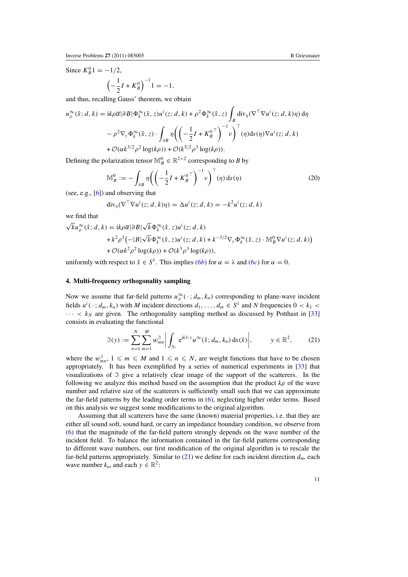<span id="page-11-0"></span>Since  $K_B^0 1 = -1/2$ ,

$$
\left(-\frac{1}{2}I + K_B^0\right)^{-1}1 = -1,
$$

and thus, recalling Gauss' theorem, we obtain

$$
u_{\rho}^{\infty}(\hat{x}; d, k) = ik\rho \overline{\alpha} |\partial B| \Phi_{k}^{\infty}(\hat{x}, z) u^{i}(z; d, k) + \rho^{2} \Phi_{k}^{\infty}(\hat{x}, z) \int_{B} \text{div}_{\eta} (\nabla^{\top} \nabla u^{i}(z; d, k) \eta) d\eta
$$

$$
- \rho^{2} \nabla_{y} \Phi_{k}^{\infty}(\hat{x}, z) \cdot \int_{\partial B} \eta \left( \left( -\frac{1}{2} I + K_{B}^{0} \right)^{-1} v \right)^{\top} (\eta) d s(\eta) \nabla u^{i}(z; d, k)
$$

$$
+ \mathcal{O}(\alpha k^{3/2} \rho^{2} \log(k\rho)) + \mathcal{O}(k^{5/2} \rho^{3} \log(k\rho)).
$$

Defining the polarization tensor  $\mathbb{M}_{B}^{0} \in \mathbb{R}^{2 \times 2}$  corresponding to *B* by

$$
\mathbb{M}_{B}^{0} := -\int_{\partial B} \eta \left( \left( -\frac{1}{2} I + K_{B}^{0\top} \right)^{-1} \nu \right)^{\top} (\eta) \, \mathrm{d}s(\eta) \tag{20}
$$

(see, e.g., [\[6\]](#page-22-0)) and observing that

$$
\operatorname{div}_{\eta} (\nabla^{\top} \nabla u^{i}(z; d, k)\eta) = \Delta u^{i}(z; d, k) = -k^{2} u^{i}(z; d, k)
$$

we find that  $\sqrt{ }$ 

$$
\sqrt{k}u_{\rho}^{\infty}(\hat{x}; d, k) = ik\rho\overline{\alpha}|\partial B|\sqrt{k}\Phi_{k}^{\infty}(\hat{x}, z)u^{i}(z; d, k) \n+ k^{2}\rho^{2}(-|B|\sqrt{k}\Phi_{k}^{\infty}(\hat{x}, z)u^{i}(z; d, k) + k^{-3/2}\nabla_{y}\Phi_{k}^{\infty}(\hat{x}, z) \cdot \mathbb{M}_{B}^{0}\nabla u^{i}(z; d, k)) \n+ \mathcal{O}(\alpha k^{2}\rho^{2}\log(k\rho)) + \mathcal{O}(k^{3}\rho^{3}\log(k\rho)),
$$

uniformly with respect to  $\hat{x} \in S^1$ . This implies [\(6](#page-4-0)*b*) for  $\alpha = \lambda$  and (6*c*) for  $\alpha = 0$ .

# **4. Multi-frequency orthogonality sampling**

Now we assume that far-field patterns  $u_{\rho}^{\infty}(\cdot; d_m, k_n)$  corresponding to plane-wave incident fields  $u^i(\cdot; d_m, k_n)$  with *M* incident directions  $d_1, \ldots, d_m \in S^1$  and *N* frequencies  $0 < k_1 <$  $\cdots$  <  $k_N$  are given. The orthogonality sampling method as discussed by Potthast in [\[33](#page-23-0)] consists in evaluating the functional

$$
\mathfrak{F}(y) := \sum_{n=1}^{N} \sum_{m=1}^{M} w_{mn}^{\mathfrak{F}} \left| \int_{S_1} e^{ik\hat{x} \cdot y} u^{\infty}(\hat{x}; d_m, k_n) \, ds(\hat{x}) \right|, \qquad y \in \mathbb{R}^2, \qquad (21)
$$

where the  $w_{mn}^3$ ,  $1 \leq m \leq M$  and  $1 \leq n \leq N$ , are weight functions that have to be chosen appropriately. It has been exemplified by a series of numerical experiments in [\[33](#page-23-0)] that visualizations of  $\Im$  give a relatively clear image of the support of the scatterers. In the following we analyze this method based on the assumption that the product  $k\rho$  of the wave number and relative size of the scatterers is sufficiently small such that we can approximate the far-field patterns by the leading order terms in [\(6\)](#page-4-0), neglecting higher order terms. Based on this analysis we suggest some modifications to the original algorithm.

Assuming that all scatterers have the same (known) material properties, i.e. that they are either all sound soft, sound hard, or carry an impedance boundary condition, we observe from [\(6\)](#page-4-0) that the magnitude of the far-field pattern strongly depends on the wave number of the incident field. To balance the information contained in the far-field patterns corresponding to different wave numbers, our first modification of the original algorithm is to rescale the far-field patterns appropriately. Similar to  $(21)$  we define for each incident direction  $d_m$ , each wave number  $k_n$ , and each  $y \in \mathbb{R}^2$ :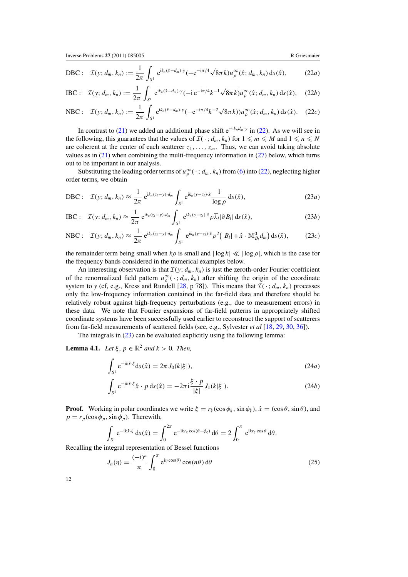<span id="page-12-0"></span>
$$
\text{DBC:} \quad \mathcal{I}(y; d_m, k_n) := \frac{1}{2\pi} \int_{S^1} e^{ik_n(\hat{x} - d_m) \cdot y} (-e^{-i\pi/4} \sqrt{8\pi k}) u_p^{\infty}(\hat{x}; d_m, k_n) \, \text{d}s(\hat{x}), \tag{22a}
$$

$$
\text{IBC:} \quad \mathcal{I}(y; d_m, k_n) := \frac{1}{2\pi} \int_{S^1} e^{ik_n(\hat{x} - d_m) \cdot y} (-i e^{-i\pi/4} k^{-1} \sqrt{8\pi k}) u_\rho^\infty(\hat{x}; d_m, k_n) \, \text{d}s(\hat{x}), \quad (22b)
$$

$$
\text{NBC}: \ \ \mathcal{I}(y; d_m, k_n) := \frac{1}{2\pi} \int_{S^1} e^{ik_n(\hat{x} - d_m) \cdot y} (-e^{-i\pi/4} k^{-2} \sqrt{8\pi k}) u_\rho^\infty(\hat{x}; d_m, k_n) \, \text{d}s(\hat{x}). \tag{22c}
$$

In contrast to [\(21\)](#page-11-0) we added an additional phase shift  $e^{-ik_n d_m \cdot y}$  in (22). As we will see in the following, this guarantees that the values of  $\mathcal{I}(\cdot; d_m, k_n)$  for  $1 \leq m \leq M$  and  $1 \leq n \leq N$ are coherent at the center of each scatterer  $z_1, \ldots, z_m$ . Thus, we can avoid taking absolute values as in  $(21)$  when combining the multi-frequency information in  $(27)$  below, which turns out to be important in our analysis.

Substituting the leading order terms of  $u_{\rho}^{\infty}(\cdot; d_m, k_n)$  from [\(6\)](#page-4-0) into (22), neglecting higher order terms, we obtain

$$
\text{DBC}: \quad \mathcal{I}(y; d_m, k_n) \approx \frac{1}{2\pi} e^{ik_n(z_l-y) \cdot d_m} \int_{S^1} e^{ik_n(y-z_l)\cdot \hat{x}} \frac{1}{\log \rho} \, \mathrm{d}s(\hat{x}), \tag{23a}
$$

$$
\text{IBC:} \quad \mathcal{I}(y; d_m, k_n) \approx \frac{1}{2\pi} e^{ik_n(z_l - y) \cdot d_m} \int_{S^1} e^{ik_n(y - z_l) \cdot \hat{x}} \rho \overline{\lambda}_l |\partial B_l| \, \text{d}s(\hat{x}), \tag{23b}
$$

$$
\text{NBC}: \quad \mathcal{I}(y; d_m, k_n) \approx \frac{1}{2\pi} e^{ik_n(z_l-y)\cdot d_m} \int_{S^1} e^{ik_n(y-z_l)\cdot \hat{x}} \rho^2 \big( |B_l| + \hat{x} \cdot \mathbb{M}_{B_l}^0 d_m \big) \, \text{d}s(\hat{x}), \tag{23c}
$$

the remainder term being small when  $k\rho$  is small and  $|\log k| \ll |\log \rho|$ , which is the case for the frequency bands considered in the numerical examples below.

An interesting observation is that  $\mathcal{I}(y; d_m, k_n)$  is just the zeroth-order Fourier coefficient of the renormalized field pattern  $u_{\rho}^{\infty}(\cdot; d_m, k_n)$  after shifting the origin of the coordinate system to *y* (cf, e.g., Kress and Rundell [\[28,](#page-23-0) p 78]). This means that  $\mathcal{I}(\cdot; d_m, k_n)$  processes only the low-frequency information contained in the far-field data and therefore should be relatively robust against high-frequency perturbations (e.g., due to measurement errors) in these data. We note that Fourier expansions of far-field patterns in appropriately shifted coordinate systems have been successfully used earlier to reconstruct the support of scatterers from far-field measurements of scattered fields (see, e.g., Sylvester *et al* [\[18](#page-23-0), [29](#page-23-0), [30](#page-23-0), [36](#page-23-0)]).

The integrals in (23) can be evaluated explicitly using the following lemma:

**Lemma 4.1.** *Let*  $\xi$ ,  $p \in \mathbb{R}^2$  *and*  $k > 0$ *. Then,* 

$$
\int_{S^1} e^{-ik\hat{x}\cdot\xi} ds(\hat{x}) = 2\pi J_0(k|\xi|),
$$
\n(24*a*)

$$
\int_{S^1} e^{-ik\hat{x}\cdot\xi}\hat{x} \cdot p \,ds(\hat{x}) = -2\pi i \frac{\xi \cdot p}{|\xi|} J_1(k|\xi|). \tag{24b}
$$

**Proof.** Working in polar coordinates we write  $\xi = r_{\xi} (\cos \phi_{\xi}, \sin \phi_{\xi})$ ,  $\hat{x} = (\cos \theta, \sin \theta)$ , and  $p = r_p(\cos \phi_p, \sin \phi_p)$ . Therewith,

$$
\int_{S^1} e^{-ik\hat{x}\cdot\xi} ds(\hat{x}) = \int_0^{2\pi} e^{-ikr_\xi \cos(\theta - \phi_\xi)} d\theta = 2 \int_0^{\pi} e^{ikr_\xi \cos\theta} d\theta.
$$

Recalling the integral representation of Bessel functions

$$
J_n(\eta) = \frac{(-i)^n}{\pi} \int_0^{\pi} e^{i\eta \cos(\theta)} \cos(n\theta) d\theta
$$
 (25)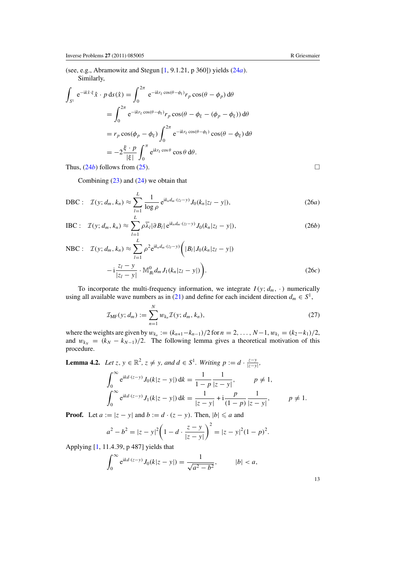<span id="page-13-0"></span>(see, e.g., Abramowitz and Stegun [\[1,](#page-22-0) 9.1.21, p 360]) yields [\(24](#page-12-0)*a*). Similarly,

$$
\int_{S^1} e^{-ik\hat{x}\cdot\xi} \hat{x} \cdot p \, ds(\hat{x}) = \int_0^{2\pi} e^{-ikr_\xi \cos(\theta - \phi_\xi)} r_p \cos(\theta - \phi_p) \, d\theta
$$

$$
= \int_0^{2\pi} e^{-ikr_\xi \cos(\theta - \phi_\xi)} r_p \cos(\theta - \phi_\xi - (\phi_p - \phi_\xi)) \, d\theta
$$

$$
= r_p \cos(\phi_p - \phi_\xi) \int_0^{2\pi} e^{-ikr_\xi \cos(\theta - \phi_\xi)} \cos(\theta - \phi_\xi) \, d\theta
$$

$$
= -2 \frac{\xi \cdot p}{|\xi|} \int_0^{\pi} e^{ikr_\xi \cos\theta} \cos\theta \, d\theta.
$$

Thus,  $(24b)$  $(24b)$  follows from  $(25)$ .

Combining  $(23)$  and  $(24)$  we obtain that

$$
\text{DBC:} \quad \mathcal{I}(y; d_m, k_n) \approx \sum_{l=1}^{L} \frac{1}{\log \rho} e^{ik_n d_m \cdot (z_l - y)} J_0(k_n | z_l - y|), \tag{26a}
$$

$$
\text{IBC:} \quad \mathcal{I}(y; d_m, k_n) \approx \sum_{l=1}^L \rho \overline{\lambda}_l |\partial B_l| \,\mathrm{e}^{\mathrm{i}k_n d_m \cdot (z_l - y)} J_0(k_n | z_l - y|), \tag{26b}
$$

$$
\text{NBC}: \quad \mathcal{I}(y; d_m, k_n) \approx \sum_{l=1}^{L} \rho^2 e^{ik_n d_m \cdot (z_l - y)} \bigg( |B_l| J_0(k_n | z_l - y|) - i \frac{z_l - y}{|z_l - y|} \cdot \mathbb{M}_{B_l}^0 d_m J_1(k_n | z_l - y|) \bigg). \tag{26c}
$$

To incorporate the multi-frequency information, we integrate  $I(y; d_m, \cdot)$  numerically using all available wave numbers as in [\(21\)](#page-11-0) and define for each incident direction  $d_m \in S^1$ ,

$$
\mathcal{I}_{\text{MF}}(y; d_m) := \sum_{n=1}^{N} w_{k_n} \mathcal{I}(y; d_m, k_n), \tag{27}
$$

where the weights are given by  $w_{k_n} := (k_{n+1} - k_{n-1})/2$  for  $n = 2, ..., N-1$ ,  $w_{k_1} = (k_2 - k_1)/2$ , and  $w_{k_N} = (k_N - k_{N-1})/2$ . The following lemma gives a theoretical motivation of this procedure.

**Lemma 4.2.** *Let*  $z, y \in \mathbb{R}^2$ ,  $z \neq y$ , and  $d \in S^1$ . Writing  $p := d \cdot \frac{z - y}{|z - y|}$ ,

$$
\int_0^\infty e^{ikd \cdot (z-y)} J_0(k|z-y|) dk = \frac{1}{1-p} \frac{1}{|z-y|}, \qquad p \neq 1,
$$
  

$$
\int_0^\infty e^{ikd \cdot (z-y)} J_1(k|z-y|) dk = \frac{1}{|z-y|} + i \frac{p}{(1-p)} \frac{1}{|z-y|}, \qquad p \neq 1.
$$

**Proof.** Let  $a := |z - y|$  and  $b := d \cdot (z - y)$ . Then,  $|b| \le a$  and

$$
a^{2} - b^{2} = |z - y|^{2} \left( 1 - d \cdot \frac{z - y}{|z - y|} \right)^{2} = |z - y|^{2} (1 - p)^{2}.
$$

Applying [\[1](#page-22-0), 11.4.39, p 487] yields that

$$
\int_0^\infty e^{ikd\cdot(z-y)} J_0(k|z-y|) = \frac{1}{\sqrt{a^2 - b^2}}, \qquad |b| < a,
$$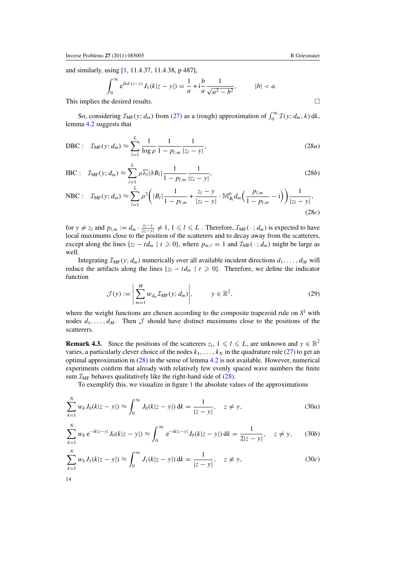$$
\int_0^\infty e^{ikd \cdot (z-y)} J_1(k|z-y|) = \frac{1}{a} + i \frac{b}{a} \frac{1}{\sqrt{a^2 - b^2}}, \qquad |b| < a.
$$

<span id="page-14-0"></span>This implies the desired results.  $\Box$ 

14

So, considering  $\mathcal{I}_{MF}(y; d_m)$  from [\(27\)](#page-13-0) as a (rough) approximation of  $\int_0^\infty \mathcal{I}(y; d_m, k) dk$ , lemma [4.2](#page-13-0) suggests that

$$
\text{DBC:} \quad \mathcal{I}_{\text{MF}}(y; d_m) \approx \sum_{l=1}^{L} \frac{1}{\log \rho} \frac{1}{1 - p_{l,m}} \frac{1}{|z_l - y|},\tag{28a}
$$

$$
\text{IBC:} \quad \mathcal{I}_{\text{MF}}(y; d_m) \approx \sum_{l=1}^{L} \rho \overline{\lambda_l} |\partial B_l| \frac{1}{1 - p_{l,m}} \frac{1}{|z_l - y|},\tag{28b}
$$

$$
\text{NBC}: \quad \mathcal{I}_{\text{MF}}(y; d_m) \approx \sum_{l=1}^{L} \rho^2 \bigg( |B_l| \frac{1}{1 - p_{l,m}} + \frac{z_l - y}{|z_l - y|} \cdot \mathbb{M}_{B_l}^0 d_m \bigg( \frac{p_{l,m}}{1 - p_{l,m}} - 1 \bigg) \bigg) \frac{1}{|z_l - y|},\tag{28c}
$$

for  $y \neq z_l$  and  $p_{l,m} := d_m \cdot \frac{z_l - y}{|z_l - y|} \neq 1, 1 \leq l \leq L$ . Therefore,  $\mathcal{I}_{MF}(\cdot; d_m)$  is expected to have local maximums close to the position of the scatterers and to decay away from the scatterers, except along the lines  $\{z_l - td_m \mid t \geq 0\}$ , where  $p_{m,l} = 1$  and  $\mathcal{I}_{MF}(\cdot; d_m)$  might be large as well.

Integrating  $\mathcal{I}_{MF}(y; d_m)$  numerically over all available incident directions  $d_1, \ldots, d_M$  will reduce the artifacts along the lines  $\{z_l - t d_m \mid t \geq 0\}$ . Therefore, we define the indicator function

$$
\mathcal{J}(y) := \left| \sum_{m=1}^{M} w_{d_m} \mathcal{I}_{\mathrm{MF}}(y; d_m) \right|, \qquad y \in \mathbb{R}^2,
$$
\n(29)

where the weight functions are chosen according to the composite trapezoid rule on  $S<sup>1</sup>$  with nodes  $d_1, \ldots, d_M$ . Then J should have distinct maximums close to the positions of the scatterers.

**Remark 4.3.** Since the positions of the scatterers  $z_l$ ,  $1 \le l \le L$ , are unknown and  $y \in \mathbb{R}^2$ varies, a particularly clever choice of the nodes  $k_1, \ldots, k_N$  in the quadrature rule [\(27\)](#page-13-0) to get an optimal approximation in (28) in the sense of lemma [4.2](#page-13-0) is not available. However, numerical experiments confirm that already with relatively few evenly spaced wave numbers the finite sum  $\mathcal{I}_{MF}$  behaves qualitatively like the right-hand side of (28).

To exemplify this, we visualize in figure [1](#page-15-0) the absolute values of the approximations

$$
\sum_{k=1}^{N} w_k J_0(k|z-y|) \approx \int_0^\infty J_0(k|z-y|) \, \mathrm{d}k = \frac{1}{|z-y|}, \quad z \neq y,\tag{30a}
$$

$$
\sum_{k=1}^{N} w_k \, \mathrm{e}^{-\mathrm{i}k|z-y|} J_0(k|z-y|) \approx \int_0^\infty \mathrm{e}^{-\mathrm{i}k|z-y|} J_0(k|z-y|) \, \mathrm{d}k = \frac{1}{2|z-y|}, \quad z \neq y,\qquad (30b)
$$

$$
\sum_{k=1}^{N} w_k J_1(k|z-y|) \approx \int_0^\infty J_1(k|z-y|) \, \mathrm{d}k = \frac{1}{|z-y|}, \quad z \neq y,\tag{30c}
$$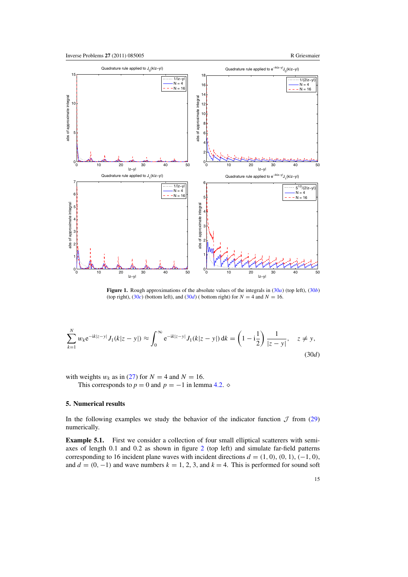<span id="page-15-0"></span>

**Figure 1.** Rough approximations of the absolute values of the integrals in [\(30](#page-14-0)*a*) (top left), [\(30](#page-14-0)*b*) (top right),  $(30c)$  $(30c)$  (bottom left), and  $(30d)$  ( bottom right) for  $N = 4$  and  $N = 16$ .

$$
\sum_{k=1}^{N} w_k e^{-ik|z-y|} J_1(k|z-y|) \approx \int_0^\infty e^{-ik|z-y|} J_1(k|z-y|) dk = \left(1 - i\frac{1}{2}\right) \frac{1}{|z-y|}, \quad z \neq y,
$$
\n(30*d*)

with weights  $w_k$  as in [\(27\)](#page-13-0) for  $N = 4$  and  $N = 16$ . This corresponds to  $p = 0$  and  $p = -1$  in lemma [4.2.](#page-13-0)  $\diamond$ 

## **5. Numerical results**

In the following examples we study the behavior of the indicator function  $\mathcal J$  from [\(29\)](#page-14-0) numerically.

**Example 5.1.** First we consider a collection of four small elliptical scatterers with semiaxes of length 0*.*1 and 0*.*2 as shown in figure [2](#page-16-0) (top left) and simulate far-field patterns corresponding to 16 incident plane waves with incident directions  $d = (1, 0), (0, 1), (-1, 0)$ , and  $d = (0, -1)$  and wave numbers  $k = 1, 2, 3$ , and  $k = 4$ . This is performed for sound soft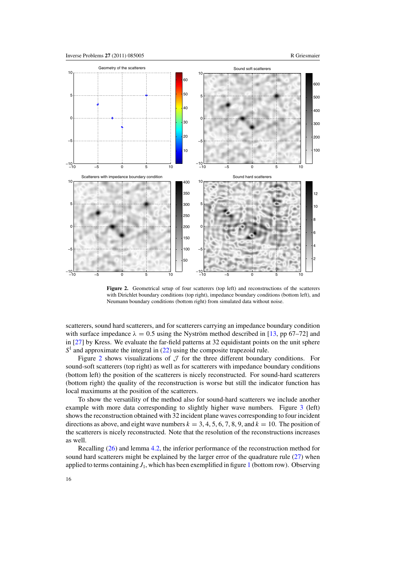<span id="page-16-0"></span>

**Figure 2.** Geometrical setup of four scatterers (top left) and reconstructions of the scatterers with Dirichlet boundary conditions (top right), impedance boundary conditions (bottom left), and Neumann boundary conditions (bottom right) from simulated data without noise.

scatterers, sound hard scatterers, and for scatterers carrying an impedance boundary condition with surface impedance  $\lambda = 0.5$  using the Nyström method described in [[13](#page-22-0), pp 67–72] and in [\[27](#page-23-0)] by Kress. We evaluate the far-field patterns at 32 equidistant points on the unit sphere  $S<sup>1</sup>$  and approximate the integral in  $(22)$  using the composite trapezoid rule.

Figure 2 shows visualizations of  $J$  for the three different boundary conditions. For sound-soft scatterers (top right) as well as for scatterers with impedance boundary conditions (bottom left) the position of the scatterers is nicely reconstructed. For sound-hard scatterers (bottom right) the quality of the reconstruction is worse but still the indicator function has local maximums at the position of the scatterers.

To show the versatility of the method also for sound-hard scatterers we include another example with more data corresponding to slightly higher wave numbers. Figure [3](#page-17-0) (left) shows the reconstruction obtained with 32 incident plane waves corresponding to four incident directions as above, and eight wave numbers  $k = 3, 4, 5, 6, 7, 8, 9$ , and  $k = 10$ . The position of the scatterers is nicely reconstructed. Note that the resolution of the reconstructions increases as well.

Recalling [\(26\)](#page-13-0) and lemma [4.2,](#page-13-0) the inferior performance of the reconstruction method for sound hard scatterers might be explained by the larger error of the quadrature rule [\(27\)](#page-13-0) when applied to terms containing  $J_1$  $J_1$ , which has been exemplified in figure 1 (bottom row). Observing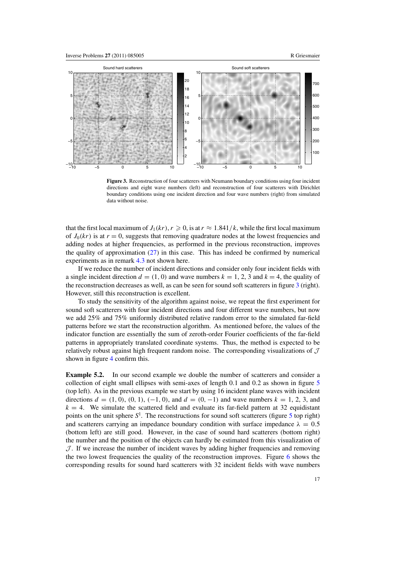<span id="page-17-0"></span>

**Figure 3.** Reconstruction of four scatterers with Neumann boundary conditions using four incident directions and eight wave numbers (left) and reconstruction of four scatterers with Dirichlet boundary conditions using one incident direction and four wave numbers (right) from simulated data without noise.

that the first local maximum of  $J_1(kr)$ ,  $r \ge 0$ , is at  $r \approx 1.841/k$ , while the first local maximum of  $J_0(kr)$  is at  $r = 0$ , suggests that removing quadrature nodes at the lowest frequencies and adding nodes at higher frequencies, as performed in the previous reconstruction, improves the quality of approximation  $(27)$  in this case. This has indeed be confirmed by numerical experiments as in remark [4.3](#page-14-0) not shown here.

If we reduce the number of incident directions and consider only four incident fields with a single incident direction  $d = (1, 0)$  and wave numbers  $k = 1, 2, 3$  and  $k = 4$ , the quality of the reconstruction decreases as well, as can be seen for sound soft scatterers in figure 3 (right). However, still this reconstruction is excellent.

To study the sensitivity of the algorithm against noise, we repeat the first experiment for sound soft scatterers with four incident directions and four different wave numbers, but now we add 25% and 75% uniformly distributed relative random error to the simulated far-field patterns before we start the reconstruction algorithm. As mentioned before, the values of the indicator function are essentially the sum of zeroth-order Fourier coefficients of the far-field patterns in appropriately translated coordinate systems. Thus, the method is expected to be relatively robust against high frequent random noise. The corresponding visualizations of  $\mathcal J$ shown in figure [4](#page-18-0) confirm this.

**Example 5.2.** In our second example we double the number of scatterers and consider a collection of eight small ellipses with semi-axes of length 0*.*1 and 0*.*2 as shown in figure [5](#page-18-0) (top left). As in the previous example we start by using 16 incident plane waves with incident directions  $d = (1, 0), (0, 1), (-1, 0),$  and  $d = (0, -1)$  and wave numbers  $k = 1, 2, 3$ , and  $k = 4$ . We simulate the scattered field and evaluate its far-field pattern at 32 equidistant points on the unit sphere  $S^1$ . The reconstructions for sound soft scatterers (figure [5](#page-18-0) top right) and scatterers carrying an impedance boundary condition with surface impedance  $\lambda = 0.5$ (bottom left) are still good. However, in the case of sound hard scatterers (bottom right) the number and the position of the objects can hardly be estimated from this visualization of  $J$ . If we increase the number of incident waves by adding higher frequencies and removing the two lowest frequencies the quality of the reconstruction improves. Figure [6](#page-19-0) shows the corresponding results for sound hard scatterers with 32 incident fields with wave numbers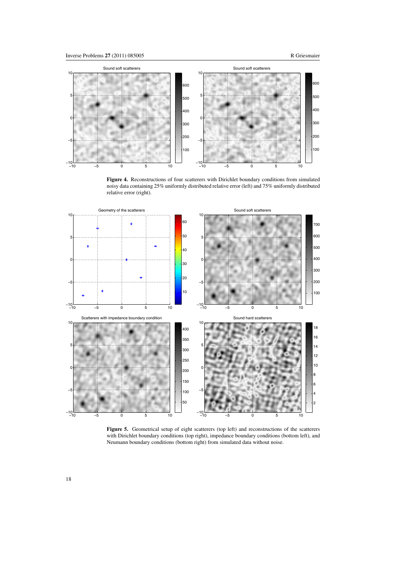<span id="page-18-0"></span>

**Figure 4.** Reconstructions of four scatterers with Dirichlet boundary conditions from simulated noisy data containing 25% uniformly distributed relative error (left) and 75% uniformly distributed relative error (right).



Figure 5. Geometrical setup of eight scatterers (top left) and reconstructions of the scatterers with Dirichlet boundary conditions (top right), impedance boundary conditions (bottom left), and Neumann boundary conditions (bottom right) from simulated data without noise.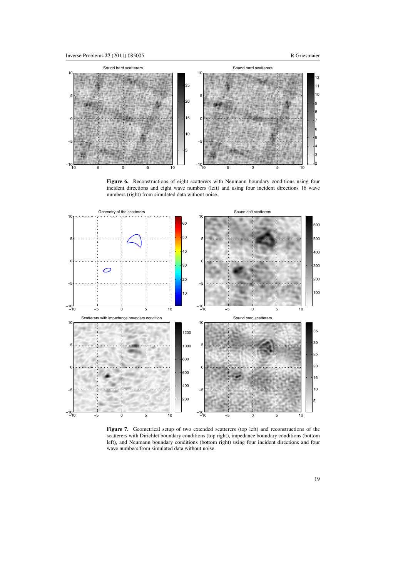<span id="page-19-0"></span>

**Figure 6.** Reconstructions of eight scatterers with Neumann boundary conditions using four incident directions and eight wave numbers (left) and using four incident directions 16 wave numbers (right) from simulated data without noise.



Figure 7. Geometrical setup of two extended scatterers (top left) and reconstructions of the scatterers with Dirichlet boundary conditions (top right), impedance boundary conditions (bottom left), and Neumann boundary conditions (bottom right) using four incident directions and four wave numbers from simulated data without noise.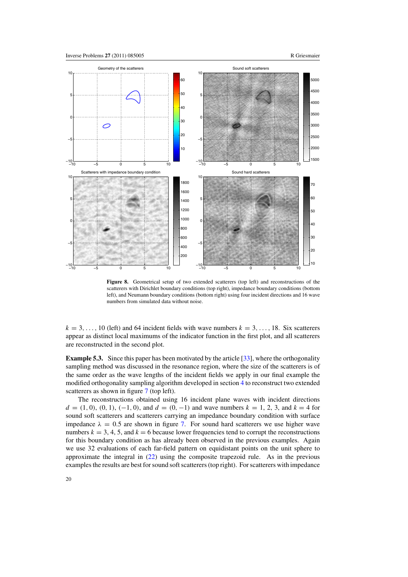<span id="page-20-0"></span>

Figure 8. Geometrical setup of two extended scatterers (top left) and reconstructions of the scatterers with Dirichlet boundary conditions (top right), impedance boundary conditions (bottom left), and Neumann boundary conditions (bottom right) using four incident directions and 16 wave numbers from simulated data without noise.

 $k = 3, \ldots, 10$  (left) and 64 incident fields with wave numbers  $k = 3, \ldots, 18$ . Six scatterers appear as distinct local maximums of the indicator function in the first plot, and all scatterers are reconstructed in the second plot.

**Example 5.3.** Since this paper has been motivated by the article [\[33\]](#page-23-0), where the orthogonality sampling method was discussed in the resonance region, where the size of the scatterers is of the same order as the wave lengths of the incident fields we apply in our final example the modified orthogonality sampling algorithm developed in section [4](#page-11-0) to reconstruct two extended scatterers as shown in figure [7](#page-19-0) (top left).

The reconstructions obtained using 16 incident plane waves with incident directions  $d = (1, 0), (0, 1), (-1, 0),$  and  $d = (0, -1)$  and wave numbers  $k = 1, 2, 3$ , and  $k = 4$  for sound soft scatterers and scatterers carrying an impedance boundary condition with surface impedance  $\lambda = 0.5$  are shown in figure [7.](#page-19-0) For sound hard scatterers we use higher wave numbers  $k = 3, 4, 5$ , and  $k = 6$  because lower frequencies tend to corrupt the reconstructions for this boundary condition as has already been observed in the previous examples. Again we use 32 evaluations of each far-field pattern on equidistant points on the unit sphere to approximate the integral in  $(22)$  using the composite trapezoid rule. As in the previous examples the results are best for sound soft scatterers (top right). For scatterers with impedance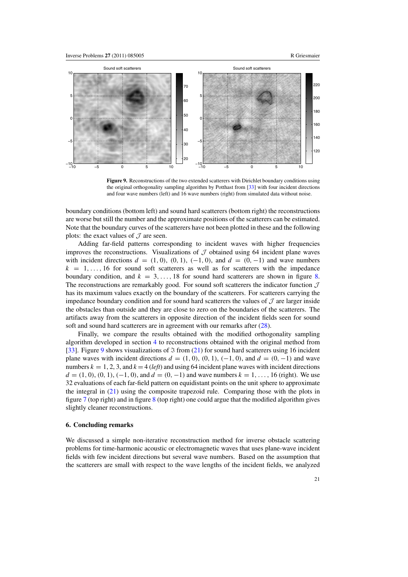

**Figure 9.** Reconstructions of the two extended scatterers with Dirichlet boundary conditions using the original orthogonality sampling algorithm by Potthast from [\[33\]](#page-23-0) with four incident directions and four wave numbers (left) and 16 wave numbers (right) from simulated data without noise.

boundary conditions (bottom left) and sound hard scatterers (bottom right) the reconstructions are worse but still the number and the approximate positions of the scatterers can be estimated. Note that the boundary curves of the scatterers have not been plotted in these and the following plots: the exact values of  $J$  are seen.

Adding far-field patterns corresponding to incident waves with higher frequencies improves the reconstructions. Visualizations of  $J$  obtained using 64 incident plane waves with incident directions  $d = (1, 0), (0, 1), (-1, 0),$  and  $d = (0, -1)$  and wave numbers  $k = 1, \ldots, 16$  for sound soft scatterers as well as for scatterers with the impedance boundary condition, and  $k = 3, \ldots, 18$  for sound hard scatterers are shown in figure [8.](#page-20-0) The reconstructions are remarkably good. For sound soft scatterers the indicator function  $\mathcal J$ has its maximum values exactly on the boundary of the scatterers. For scatterers carrying the impedance boundary condition and for sound hard scatterers the values of  $\mathcal J$  are larger inside the obstacles than outside and they are close to zero on the boundaries of the scatterers. The artifacts away from the scatterers in opposite direction of the incident fields seen for sound soft and sound hard scatterers are in agreement with our remarks after [\(28\)](#page-14-0).

Finally, we compare the results obtained with the modified orthogonality sampling algorithm developed in section [4](#page-11-0) to reconstructions obtained with the original method from [\[33](#page-23-0)]. Figure 9 shows visualizations of  $\Im$  from [\(21\)](#page-11-0) for sound hard scatterers using 16 incident plane waves with incident directions  $d = (1, 0), (0, 1), (-1, 0),$  and  $d = (0, -1)$  and wave numbers  $k = 1, 2, 3$ , and  $k = 4$  (*left*) and using 64 incident plane waves with incident directions  $d = (1, 0), (0, 1), (-1, 0),$  and  $d = (0, -1)$  and wave numbers  $k = 1, \ldots, 16$  (right). We use 32 evaluations of each far-field pattern on equidistant points on the unit sphere to approximate the integral in [\(21\)](#page-11-0) using the composite trapezoid rule. Comparing those with the plots in figure [7](#page-19-0) (top right) and in figure [8](#page-20-0) (top right) one could argue that the modified algorithm gives slightly cleaner reconstructions.

## **6. Concluding remarks**

We discussed a simple non-iterative reconstruction method for inverse obstacle scattering problems for time-harmonic acoustic or electromagnetic waves that uses plane-wave incident fields with few incident directions but several wave numbers. Based on the assumption that the scatterers are small with respect to the wave lengths of the incident fields, we analyzed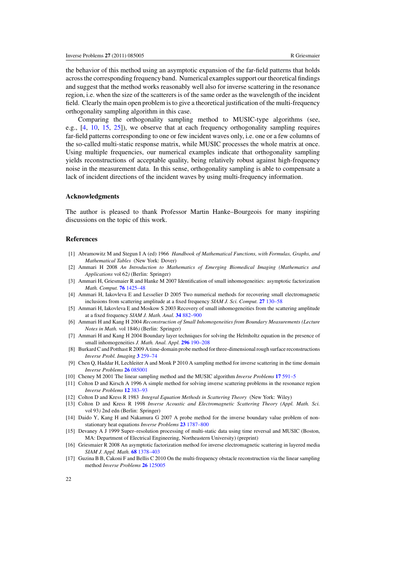<span id="page-22-0"></span>the behavior of this method using an asymptotic expansion of the far-field patterns that holds across the corresponding frequency band. Numerical examples support our theoretical findings and suggest that the method works reasonably well also for inverse scattering in the resonance region, i.e. when the size of the scatterers is of the same order as the wavelength of the incident field. Clearly the main open problem is to give a theoretical justification of the multi-frequency orthogonality sampling algorithm in this case.

Comparing the orthogonality sampling method to MUSIC-type algorithms (see, e.g., [4, 10, 15, [25](#page-23-0)]), we observe that at each frequency orthogonality sampling requires far-field patterns corresponding to one or few incident waves only, i.e. one or a few columns of the so-called multi-static response matrix, while MUSIC processes the whole matrix at once. Using multiple frequencies, our numerical examples indicate that orthogonality sampling yields reconstructions of acceptable quality, being relatively robust against high-frequency noise in the measurement data. In this sense, orthogonality sampling is able to compensate a lack of incident directions of the incident waves by using multi-frequency information.

#### **Acknowledgments**

The author is pleased to thank Professor Martin Hanke–Bourgeois for many inspiring discussions on the topic of this work.

## **References**

- [1] Abramowitz M and Stegun I A (ed) 1966 *Handbook of Mathematical Functions, with Formulas, Graphs, and Mathematical Tables* (New York: Dover)
- [2] Ammari H 2008 *An Introduction to Mathematics of Emerging Biomedical Imaging (Mathematics and Applications* vol 62*)* (Berlin: Springer)
- [3] Ammari H, Griesmaier R and Hanke M 2007 Identification of small inhomogeneities: asymptotic factorization *Math. Comput.* **76** [1425–48](http://dx.doi.org/10.1090/S0025-5718-07-01946-1)
- [4] Ammari H, Iakovleva E and Lesselier D 2005 Two numerical methods for recovering small electromagnetic inclusions from scattering amplitude at a fixed frequency *SIAM J. Sci. Comput.* **27** [130–58](http://dx.doi.org/10.1137/040612518)
- [5] Ammari H, Iakovleva E and Moskow S 2003 Recovery of small inhomogeneities from the scattering amplitude at a fixed frequency *SIAM J. Math. Anal.* **34** [882–900](http://dx.doi.org/10.1137/S0036141001392785)
- [6] Ammari H and Kang H 2004 *Reconstruction of Small Inhomogeneities from Boundary Measurements (Lecture Notes in Math.* vol 1846*)* (Berlin: Springer)
- [7] Ammari H and Kang H 2004 Boundary layer techniques for solving the Helmholtz equation in the presence of small inhomogeneities *J. Math. Anal. Appl.* **296** [190–208](http://dx.doi.org/10.1016/j.jmaa.2004.04.003)
- [8] Burkard C and Potthast R 2009 A time-domain probe method for three-dimensional rough surface reconstructions *Inverse Probl. Imaging* **3** [259–74](http://dx.doi.org/10.3934/ipi.2009.3.259)
- [9] Chen Q, Haddar H, Lechleiter A and Monk P 2010 A sampling method for inverse scattering in the time domain *Inverse Problems* **26** [085001](http://dx.doi.org/10.1088/0266-5611/26/8/085001)
- [10] Cheney M 2001 The linear sampling method and the MUSIC algorithm *Inverse Problems* **17** [591–5](http://dx.doi.org/10.1088/0266-5611/17/4/301)
- [11] Colton D and Kirsch A 1996 A simple method for solving inverse scattering problems in the resonance region *Inverse Problems* **12** [383–93](http://dx.doi.org/10.1088/0266-5611/12/4/003)
- [12] Colton D and Kress R 1983 *Integral Equation Methods in Scattering Theory* (New York: Wiley)
- [13] Colton D and Kress R 1998 *Inverse Acoustic and Electromagnetic Scattering Theory (Appl. Math. Sci.* vol 93*)* 2nd edn (Berlin: Springer)
- [14] Daido Y, Kang H and Nakamura G 2007 A probe method for the inverse boundary value problem of nonstationary heat equations *Inverse Problems* **23** [1787–800](http://dx.doi.org/10.1088/0266-5611/23/5/002)
- [15] Devaney A J 1999 Super–resolution processing of multi-static data using time reversal and MUSIC (Boston, MA: Department of Electrical Engineering, Northeastern University) (preprint)
- [16] Griesmaier R 2008 An asymptotic factorization method for inverse electromagnetic scattering in layered media *SIAM J. Appl. Math.* **68** [1378–403](http://dx.doi.org/10.1137/060677021)
- [17] Guzina B B, Cakoni F and Bellis C 2010 On the multi-frequency obstacle reconstruction via the linear sampling method *Inverse Problems* **26** [125005](http://dx.doi.org/10.1088/0266-5611/26/12/125005)